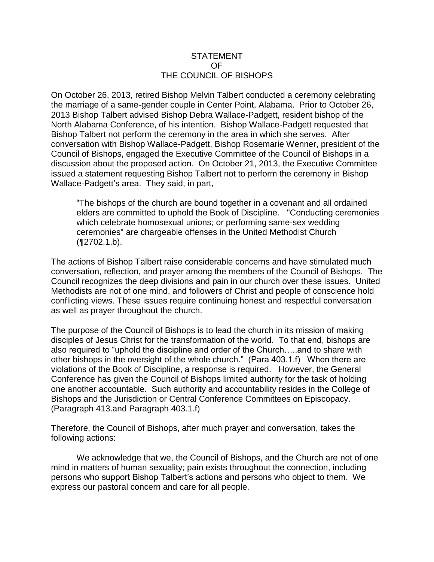## STATEMENT OF THE COUNCIL OF BISHOPS

On October 26, 2013, retired Bishop Melvin Talbert conducted a ceremony celebrating the marriage of a same-gender couple in Center Point, Alabama. Prior to October 26, 2013 Bishop Talbert advised Bishop Debra Wallace-Padgett, resident bishop of the North Alabama Conference, of his intention. Bishop Wallace-Padgett requested that Bishop Talbert not perform the ceremony in the area in which she serves. After conversation with Bishop Wallace-Padgett, Bishop Rosemarie Wenner, president of the Council of Bishops, engaged the Executive Committee of the Council of Bishops in a discussion about the proposed action. On October 21, 2013, the Executive Committee issued a statement requesting Bishop Talbert not to perform the ceremony in Bishop Wallace-Padgett's area. They said, in part,

"The bishops of the church are bound together in a covenant and all ordained elders are committed to uphold the Book of Discipline. "Conducting ceremonies which celebrate homosexual unions; or performing same-sex wedding ceremonies" are chargeable offenses in the United Methodist Church (¶2702.1.b).

The actions of Bishop Talbert raise considerable concerns and have stimulated much conversation, reflection, and prayer among the members of the Council of Bishops. The Council recognizes the deep divisions and pain in our church over these issues. United Methodists are not of one mind, and followers of Christ and people of conscience hold conflicting views. These issues require continuing honest and respectful conversation as well as prayer throughout the church.

The purpose of the Council of Bishops is to lead the church in its mission of making disciples of Jesus Christ for the transformation of the world. To that end, bishops are also required to "uphold the discipline and order of the Church…..and to share with other bishops in the oversight of the whole church." (Para 403.1.f) When there are violations of the Book of Discipline, a response is required. However, the General Conference has given the Council of Bishops limited authority for the task of holding one another accountable. Such authority and accountability resides in the College of Bishops and the Jurisdiction or Central Conference Committees on Episcopacy. (Paragraph 413.and Paragraph 403.1.f)

Therefore, the Council of Bishops, after much prayer and conversation, takes the following actions:

We acknowledge that we, the Council of Bishops, and the Church are not of one mind in matters of human sexuality; pain exists throughout the connection, including persons who support Bishop Talbert's actions and persons who object to them. We express our pastoral concern and care for all people.